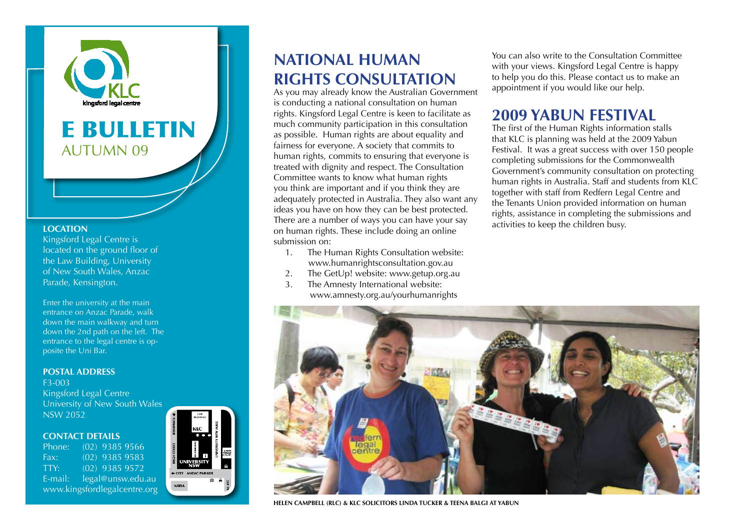

# E BULLETIN AUTUMN 09

#### **LOCATION**

Kingsford Legal Centre is located on the ground floor of the Law Building, University of New South Wales, Anzac Parade, Kensington.

Enter the university at the main entrance on Anzac Parade, walk down the main walkway and turn down the 2nd path on the left. The entrance to the legal centre is opposite the Uni Bar.

#### **POSTAL ADDRESS**

F3-003 Kingsford Legal Centre University of New South Wales NSW 2052

#### **Contact details**

Phone: (02) 9385 9566 Fax: (02) 9385 9583 TTY: (02) 9385 9572 E-mail: legal@unsw.edu.au www.kingsfordlegalcentre.org



### **National human rights consultation**

As you may already know the Australian Government is conducting a national consultation on human rights. Kingsford Legal Centre is keen to facilitate as much community participation in this consultation as possible. Human rights are about equality and fairness for everyone. A society that commits to human rights, commits to ensuring that everyone is treated with dignity and respect. The Consultation Committee wants to know what human rights you think are important and if you think they are adequately protected in Australia. They also want any ideas you have on how they can be best protected. There are a number of ways you can have your say on human rights. These include doing an online submission on:

- 1. The Human Rights Consultation website: www.humanrightsconsultation.gov.au
- 2. The GetUp! website: www.getup.org.au
- 3. The Amnesty International website: www.amnesty.org.au/yourhumanrights

You can also write to the Consultation Committee with your views. Kingsford Legal Centre is happy to help you do this. Please contact us to make an appointment if you would like our help.

### **2009 Yabun Festival**

The first of the Human Rights information stalls that KLC is planning was held at the 2009 Yabun Festival. It was a great success with over 150 people completing submissions for the Commonwealth Government's community consultation on protecting human rights in Australia. Staff and students from KLC together with staff from Redfern Legal Centre and the Tenants Union provided information on human rights, assistance in completing the submissions and activities to keep the children busy.



**Helen Campbell (RLC) & KLC Solicitors Linda Tucker & Teena Balgi at Yabun**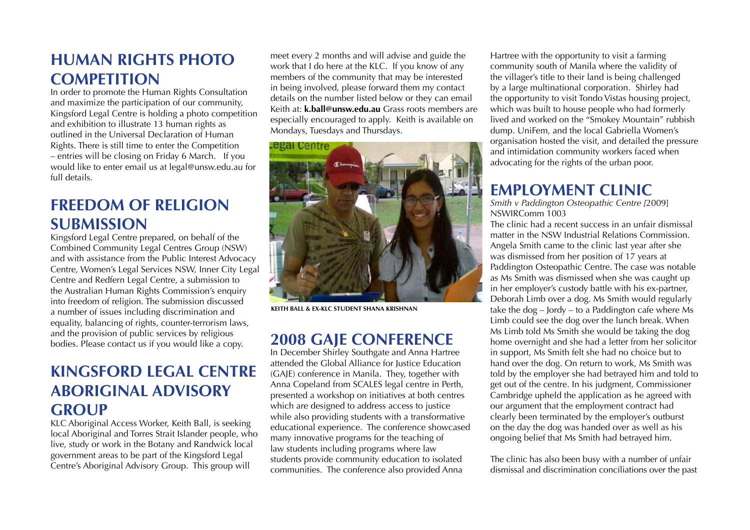## **Human Rights Photo Competition**

In order to promote the Human Rights Consultation and maximize the participation of our community, Kingsford Legal Centre is holding a photo competition and exhibition to illustrate 13 human rights as outlined in the Universal Declaration of Human Rights. There is still time to enter the Competition – entries will be closing on Friday 6 March. If you would like to enter email us at legal@unsw.edu.au for full details.

## **Freedom of Religion Submission**

Kingsford Legal Centre prepared, on behalf of the Combined Community Legal Centres Group (NSW) and with assistance from the Public Interest Advocacy Centre, Women's Legal Services NSW, Inner City Legal Centre and Redfern Legal Centre, a submission to the Australian Human Rights Commission's enquiry into freedom of religion. The submission discussed a number of issues including discrimination and equality, balancing of rights, counter-terrorism laws, and the provision of public services by religious bodies. Please contact us if you would like a copy.

## **Kingsford Legal Centre Aboriginal Advisory Group**

KLC Aboriginal Access Worker, Keith Ball, is seeking local Aboriginal and Torres Strait Islander people, who live, study or work in the Botany and Randwick local government areas to be part of the Kingsford Legal Centre's Aboriginal Advisory Group. This group will

meet every 2 months and will advise and guide the work that I do here at the KLC. If you know of any members of the community that may be interested in being involved, please forward them my contact details on the number listed below or they can email Keith at: **k.ball@unsw.edu.au** Grass roots members are especially encouraged to apply. Keith is available on Mondays, Tuesdays and Thursdays.



**Keith Ball & ex-KLC student Shana Krishnan**

### **2008 GAJE Conference**

In December Shirley Southgate and Anna Hartree attended the Global Alliance for Justice Education (GAJE) conference in Manila. They, together with Anna Copeland from SCALES legal centre in Perth, presented a workshop on initiatives at both centres which are designed to address access to justice while also providing students with a transformative educational experience. The conference showcased many innovative programs for the teaching of law students including programs where law students provide community education to isolated communities. The conference also provided Anna

Hartree with the opportunity to visit a farming community south of Manila where the validity of the villager's title to their land is being challenged by a large multinational corporation. Shirley had the opportunity to visit Tondo Vistas housing project, which was built to house people who had formerly lived and worked on the "Smokey Mountain" rubbish dump. UniFem, and the local Gabriella Women's organisation hosted the visit, and detailed the pressure and intimidation community workers faced when advocating for the rights of the urban poor.

## **Employment Clinic**

*Smith v Paddington Osteopathic Centre [*2009] NSWIRComm 1003

The clinic had a recent success in an unfair dismissal matter in the NSW Industrial Relations Commission. Angela Smith came to the clinic last year after she was dismissed from her position of 17 years at Paddington Osteopathic Centre. The case was notable as Ms Smith was dismissed when she was caught up in her employer's custody battle with his ex-partner, Deborah Limb over a dog. Ms Smith would regularly take the  $\log - \text{J}$  ordy – to a Paddington cafe where Ms Limb could see the dog over the lunch break. When Ms Limb told Ms Smith she would be taking the dog home overnight and she had a letter from her solicitor in support, Ms Smith felt she had no choice but to hand over the dog. On return to work, Ms Smith was told by the employer she had betrayed him and told to get out of the centre. In his judgment, Commissioner Cambridge upheld the application as he agreed with our argument that the employment contract had clearly been terminated by the employer's outburst on the day the dog was handed over as well as his ongoing belief that Ms Smith had betrayed him.

The clinic has also been busy with a number of unfair dismissal and discrimination conciliations over the past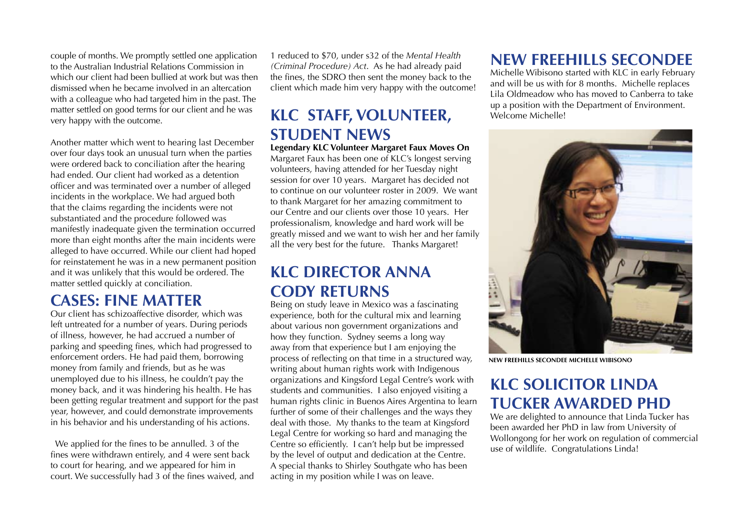couple of months. We promptly settled one application to the Australian Industrial Relations Commission in which our client had been bullied at work but was then dismissed when he became involved in an altercation with a colleague who had targeted him in the past. The matter settled on good terms for our client and he was very happy with the outcome.

Another matter which went to hearing last December over four days took an unusual turn when the parties were ordered back to conciliation after the hearing had ended. Our client had worked as a detention officer and was terminated over a number of alleged incidents in the workplace. We had argued both that the claims regarding the incidents were not substantiated and the procedure followed was manifestly inadequate given the termination occurred more than eight months after the main incidents were alleged to have occurred. While our client had hoped for reinstatement he was in a new permanent position and it was unlikely that this would be ordered. The matter settled quickly at conciliation.

### **Cases: Fine Matter**

Our client has schizoaffective disorder, which was left untreated for a number of years. During periods of illness, however, he had accrued a number of parking and speeding fines, which had progressed to enforcement orders. He had paid them, borrowing money from family and friends, but as he was unemployed due to his illness, he couldn't pay the money back, and it was hindering his health. He has been getting regular treatment and support for the past year, however, and could demonstrate improvements in his behavior and his understanding of his actions.

 We applied for the fines to be annulled. 3 of the fines were withdrawn entirely, and 4 were sent back to court for hearing, and we appeared for him in court. We successfully had 3 of the fines waived, and

1 reduced to \$70, under s32 of the *Mental Health (Criminal Procedure) Act*. As he had already paid the fines, the SDRO then sent the money back to the client which made him very happy with the outcome!

## **KLC STAFF, VOLUNTEER, STUDENT NEWS**

**Legendary KLC Volunteer Margaret Faux Moves On** Margaret Faux has been one of KLC's longest serving volunteers, having attended for her Tuesday night session for over 10 years. Margaret has decided not to continue on our volunteer roster in 2009. We want to thank Margaret for her amazing commitment to our Centre and our clients over those 10 years. Her professionalism, knowledge and hard work will be greatly missed and we want to wish her and her family all the very best for the future. Thanks Margaret!

## **KLC Director Anna Cody returns**

Being on study leave in Mexico was a fascinating experience, both for the cultural mix and learning about various non government organizations and how they function. Sydney seems a long way away from that experience but I am enjoying the process of reflecting on that time in a structured way, writing about human rights work with Indigenous organizations and Kingsford Legal Centre's work with students and communities. I also enjoyed visiting a human rights clinic in Buenos Aires Argentina to learn further of some of their challenges and the ways they deal with those. My thanks to the team at Kingsford Legal Centre for working so hard and managing the Centre so efficiently. I can't help but be impressed by the level of output and dedication at the Centre. A special thanks to Shirley Southgate who has been acting in my position while I was on leave.

## **New Freehills Secondee**

Michelle Wibisono started with KLC in early February and will be us with for 8 months. Michelle replaces Lila Oldmeadow who has moved to Canberra to take up a position with the Department of Environment. Welcome Michelle!



**New Freehills Secondee Michelle Wibisono**

## **KLC Solicitor Linda Tucker awarded PhD**

We are delighted to announce that Linda Tucker has been awarded her PhD in law from University of Wollongong for her work on regulation of commercial use of wildlife. Congratulations Linda!